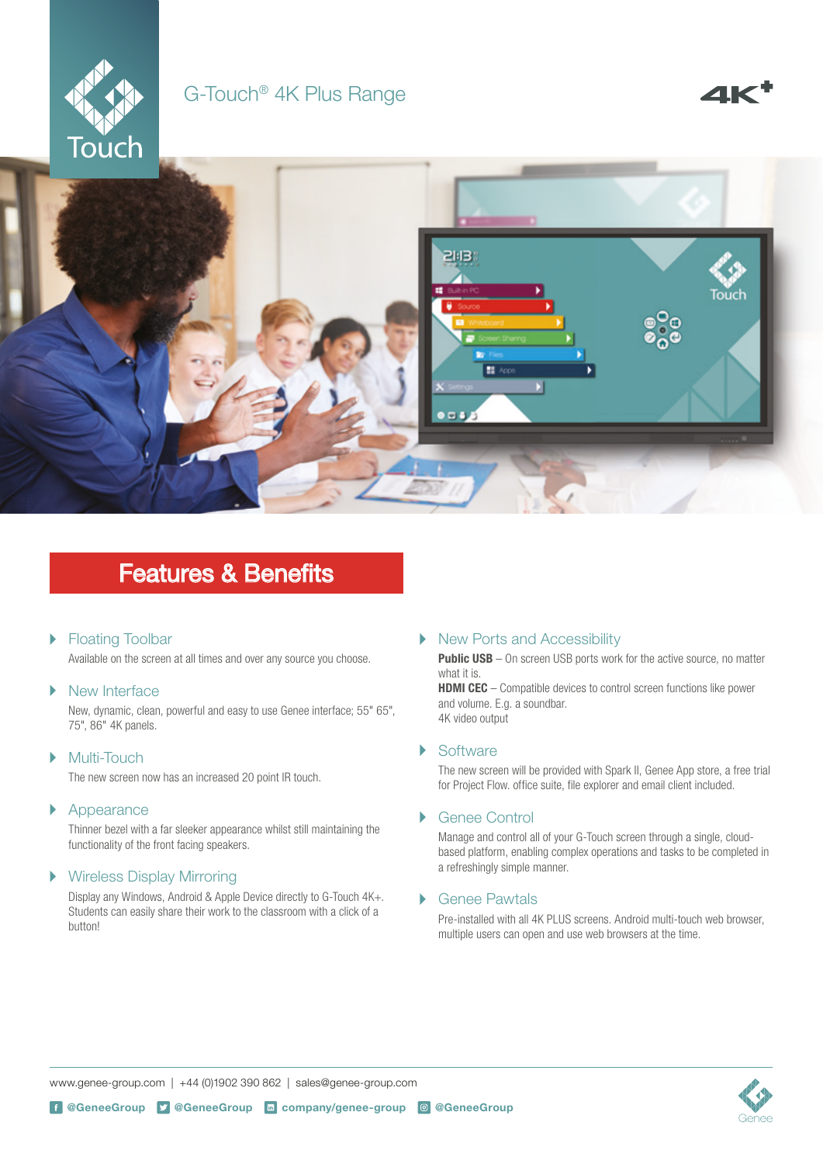

### G-Touch® 4K Plus Range



## Features & Benefits

#### Floating Toolbar  $\blacktriangleright$

Available on the screen at all times and over any source you choose.

#### $\overline{\phantom{a}}$ New Interface

New, dynamic, clean, powerful and easy to use Genee interface; 55" 65", 75", 86" 4K panels.

#### $\mathbf{b}$ Multi-Touch

The new screen now has an increased 20 point IR touch.

#### $\blacktriangleright$ Appearance

Thinner bezel with a far sleeker appearance whilst still maintaining the functionality of the front facing speakers.

#### $\blacktriangleright$ Wireless Display Mirroring

Display any Windows, Android & Apple Device directly to G-Touch 4K+. Students can easily share their work to the classroom with a click of a button!

#### New Ports and Accessibility  $\blacktriangleright$

**Public USB** – On screen USB ports work for the active source, no matter what it is.

**HDMI CEC** – Compatible devices to control screen functions like power and volume. E.g. a soundbar. 4K video output

#### **Software** ь

The new screen will be provided with Spark II, Genee App store, a free trial for Project Flow. office suite, file explorer and email client included.

#### Genee Control Þ

Manage and control all of your G-Touch screen through a single, cloudbased platform, enabling complex operations and tasks to be completed in a refreshingly simple manner.

#### ь Genee Pawtals

Pre-installed with all 4K PLUS screens. Android multi-touch web browser, multiple users can open and use web browsers at the time.